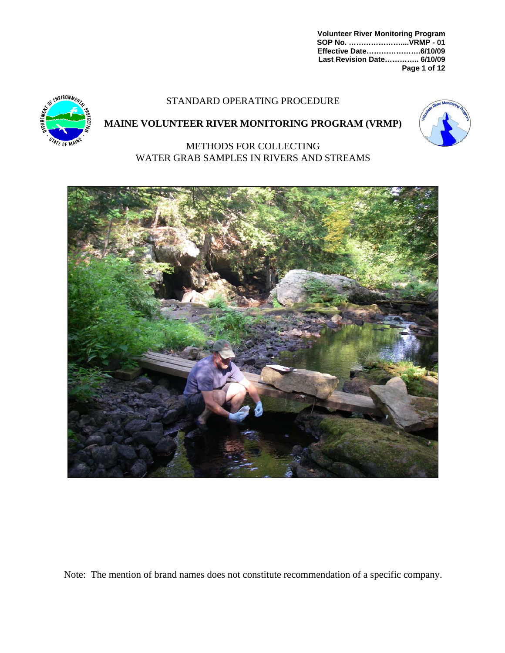**Volunteer River Monitoring Program SOP No. …………………....VRMP - 01 Effective Date………………….6/10/09 Last Revision Date………….. 6/10/09 Page 1 of 12** 

# STANDARD OPERATING PROCEDURE



# **MAINE VOLUNTEER RIVER MONITORING PROGRAM (VRMP)**



METHODS FOR COLLECTING WATER GRAB SAMPLES IN RIVERS AND STREAMS



Note: The mention of brand names does not constitute recommendation of a specific company.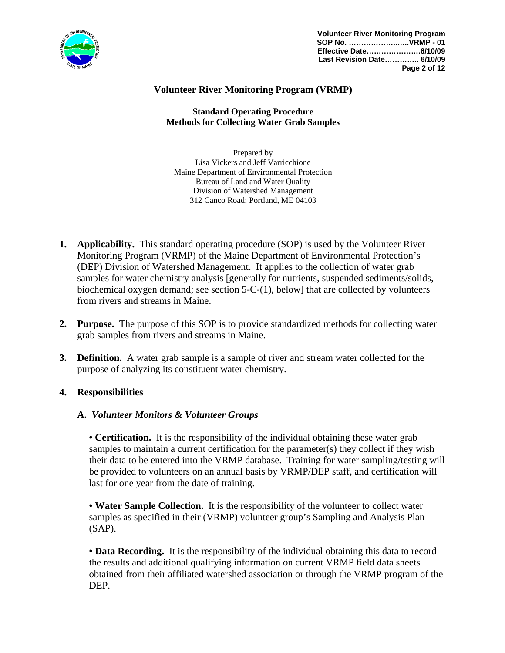

# **Volunteer River Monitoring Program (VRMP)**

**Standard Operating Procedure Methods for Collecting Water Grab Samples** 

Prepared by Lisa Vickers and Jeff Varricchione Maine Department of Environmental Protection Bureau of Land and Water Quality Division of Watershed Management 312 Canco Road; Portland, ME 04103

- **1. Applicability.** This standard operating procedure (SOP) is used by the Volunteer River Monitoring Program (VRMP) of the Maine Department of Environmental Protection's (DEP) Division of Watershed Management. It applies to the collection of water grab samples for water chemistry analysis [generally for nutrients, suspended sediments/solids, biochemical oxygen demand; see section 5-C-(1), below] that are collected by volunteers from rivers and streams in Maine.
- **2. Purpose.** The purpose of this SOP is to provide standardized methods for collecting water grab samples from rivers and streams in Maine.
- **3. Definition.** A water grab sample is a sample of river and stream water collected for the purpose of analyzing its constituent water chemistry.

### **4. Responsibilities**

#### **A.** *Volunteer Monitors & Volunteer Groups*

**• Certification.** It is the responsibility of the individual obtaining these water grab samples to maintain a current certification for the parameter(s) they collect if they wish their data to be entered into the VRMP database. Training for water sampling/testing will be provided to volunteers on an annual basis by VRMP/DEP staff, and certification will last for one year from the date of training.

**• Water Sample Collection.** It is the responsibility of the volunteer to collect water samples as specified in their (VRMP) volunteer group's Sampling and Analysis Plan (SAP).

• **Data Recording.** It is the responsibility of the individual obtaining this data to record the results and additional qualifying information on current VRMP field data sheets obtained from their affiliated watershed association or through the VRMP program of the DEP.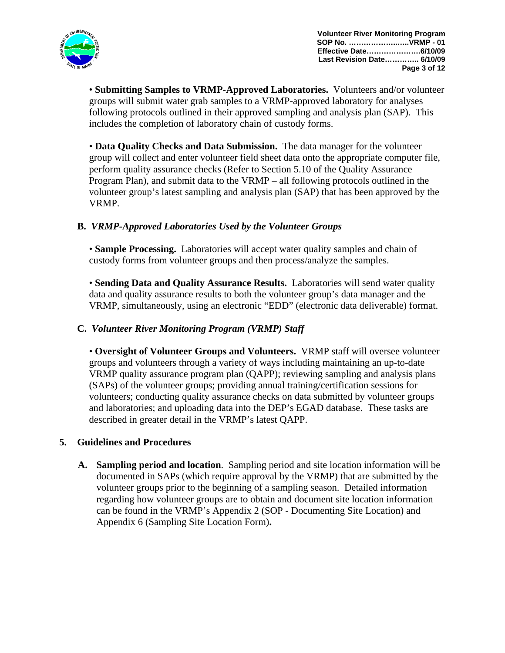

• **Submitting Samples to VRMP-Approved Laboratories.** Volunteers and/or volunteer groups will submit water grab samples to a VRMP-approved laboratory for analyses following protocols outlined in their approved sampling and analysis plan (SAP). This includes the completion of laboratory chain of custody forms.

• **Data Quality Checks and Data Submission.** The data manager for the volunteer group will collect and enter volunteer field sheet data onto the appropriate computer file, perform quality assurance checks (Refer to Section 5.10 of the Quality Assurance Program Plan), and submit data to the VRMP – all following protocols outlined in the volunteer group's latest sampling and analysis plan (SAP) that has been approved by the VRMP.

# **B.** *VRMP-Approved Laboratories Used by the Volunteer Groups*

 • **Sample Processing.** Laboratories will accept water quality samples and chain of custody forms from volunteer groups and then process/analyze the samples.

• **Sending Data and Quality Assurance Results.** Laboratories will send water quality data and quality assurance results to both the volunteer group's data manager and the VRMP, simultaneously, using an electronic "EDD" (electronic data deliverable) format.

# **C.** *Volunteer River Monitoring Program (VRMP) Staff*

• **Oversight of Volunteer Groups and Volunteers.** VRMP staff will oversee volunteer groups and volunteers through a variety of ways including maintaining an up-to-date VRMP quality assurance program plan (QAPP); reviewing sampling and analysis plans (SAPs) of the volunteer groups; providing annual training/certification sessions for volunteers; conducting quality assurance checks on data submitted by volunteer groups and laboratories; and uploading data into the DEP's EGAD database. These tasks are described in greater detail in the VRMP's latest QAPP.

# **5. Guidelines and Procedures**

**A. Sampling period and location**. Sampling period and site location information will be documented in SAPs (which require approval by the VRMP) that are submitted by the volunteer groups prior to the beginning of a sampling season. Detailed information regarding how volunteer groups are to obtain and document site location information can be found in the VRMP's Appendix 2 (SOP - Documenting Site Location) and Appendix 6 (Sampling Site Location Form)**.**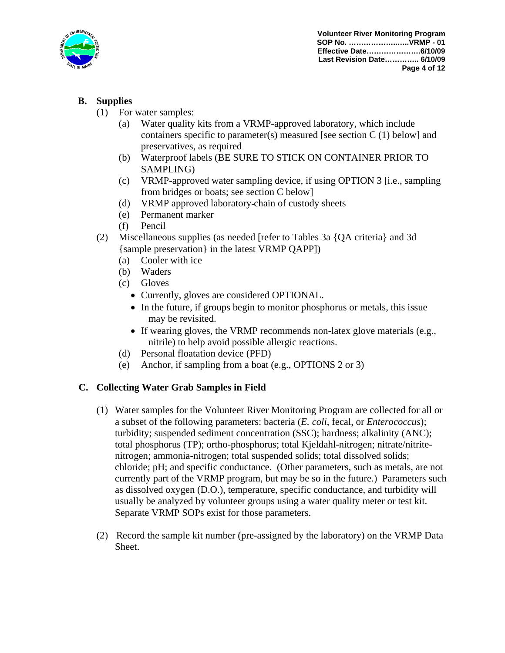

# **B. Supplies**

- (1) For water samples:
	- (a) Water quality kits from a VRMP-approved laboratory, which include containers specific to parameter(s) measured [see section  $C(1)$  below] and preservatives, as required
	- (b) Waterproof labels (BE SURE TO STICK ON CONTAINER PRIOR TO SAMPLING)
	- (c) VRMP-approved water sampling device, if using OPTION 3 [i.e., sampling from bridges or boats; see section C below]
	- (d) VRMP approved laboratory chain of custody sheets
	- (e) Permanent marker
	- (f) Pencil
- (2) Miscellaneous supplies (as needed [refer to Tables 3a {QA criteria} and 3d {sample preservation} in the latest VRMP QAPP])
	- (a) Cooler with ice
	- (b) Waders
	- (c) Gloves
		- Currently, gloves are considered OPTIONAL.
		- In the future, if groups begin to monitor phosphorus or metals, this issue may be revisited.
		- If wearing gloves, the VRMP recommends non-latex glove materials (e.g., nitrile) to help avoid possible allergic reactions.
	- (d) Personal floatation device (PFD)
	- (e) Anchor, if sampling from a boat (e.g., OPTIONS 2 or 3)

# **C. Collecting Water Grab Samples in Field**

- (1) Water samples for the Volunteer River Monitoring Program are collected for all or a subset of the following parameters: bacteria (*E. coli*, fecal, or *Enterococcus*); turbidity; suspended sediment concentration (SSC); hardness; alkalinity (ANC); total phosphorus (TP); ortho-phosphorus; total Kjeldahl-nitrogen; nitrate/nitritenitrogen; ammonia-nitrogen; total suspended solids; total dissolved solids; chloride; pH; and specific conductance. (Other parameters, such as metals, are not currently part of the VRMP program, but may be so in the future.) Parameters such as dissolved oxygen (D.O.), temperature, specific conductance, and turbidity will usually be analyzed by volunteer groups using a water quality meter or test kit. Separate VRMP SOPs exist for those parameters.
- (2) Record the sample kit number (pre-assigned by the laboratory) on the VRMP Data Sheet.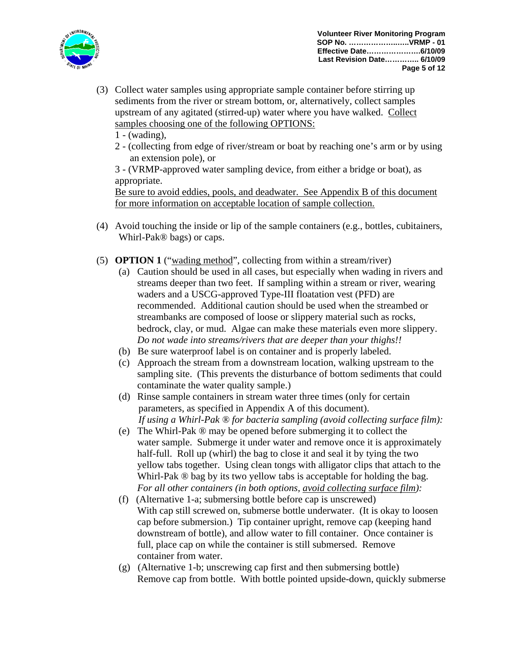

- (3) Collect water samples using appropriate sample container before stirring up sediments from the river or stream bottom, or, alternatively, collect samples upstream of any agitated (stirred-up) water where you have walked. Collect samples choosing one of the following OPTIONS:
	- $1 (wading)$ ,
	- 2 (collecting from edge of river/stream or boat by reaching one's arm or by using an extension pole), or

3 - (VRMP-approved water sampling device, from either a bridge or boat), as appropriate.

Be sure to avoid eddies, pools, and deadwater. See Appendix B of this document for more information on acceptable location of sample collection.

- (4) Avoid touching the inside or lip of the sample containers (e.g., bottles, cubitainers, Whirl-Pak® bags) or caps.
- (5) **OPTION 1** ("wading method", collecting from within a stream/river)
	- (a) Caution should be used in all cases, but especially when wading in rivers and streams deeper than two feet. If sampling within a stream or river, wearing waders and a USCG-approved Type-III floatation vest (PFD) are recommended. Additional caution should be used when the streambed or streambanks are composed of loose or slippery material such as rocks, bedrock, clay, or mud. Algae can make these materials even more slippery. *Do not wade into streams/rivers that are deeper than your thighs!!*
	- (b) Be sure waterproof label is on container and is properly labeled.
	- (c) Approach the stream from a downstream location, walking upstream to the sampling site. (This prevents the disturbance of bottom sediments that could contaminate the water quality sample.)
	- (d) Rinse sample containers in stream water three times (only for certain parameters, as specified in Appendix A of this document). *If using a Whirl-Pak ® for bacteria sampling (avoid collecting surface film):*
	- (e) The Whirl-Pak ® may be opened before submerging it to collect the water sample. Submerge it under water and remove once it is approximately half-full. Roll up (whirl) the bag to close it and seal it by tying the two yellow tabs together. Using clean tongs with alligator clips that attach to the Whirl-Pak  $\circledR$  bag by its two yellow tabs is acceptable for holding the bag. *For all other containers (in both options, avoid collecting surface film):*
	- (f) (Alternative 1-a; submersing bottle before cap is unscrewed) With cap still screwed on, submerse bottle underwater. (It is okay to loosen cap before submersion.) Tip container upright, remove cap (keeping hand downstream of bottle), and allow water to fill container. Once container is full, place cap on while the container is still submersed. Remove container from water.
	- (g) (Alternative 1-b; unscrewing cap first and then submersing bottle) Remove cap from bottle. With bottle pointed upside-down, quickly submerse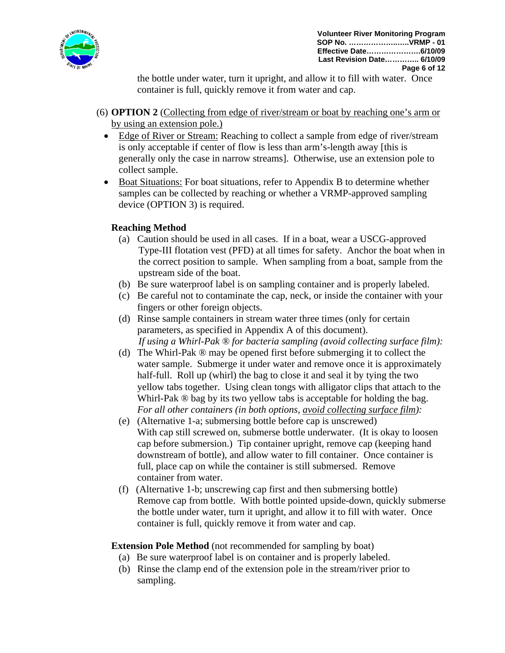

 the bottle under water, turn it upright, and allow it to fill with water. Once container is full, quickly remove it from water and cap.

- (6) **OPTION 2** (Collecting from edge of river/stream or boat by reaching one's arm or by using an extension pole.)
	- Edge of River or Stream: Reaching to collect a sample from edge of river/stream is only acceptable if center of flow is less than arm's-length away [this is generally only the case in narrow streams]. Otherwise, use an extension pole to collect sample.
	- Boat Situations: For boat situations, refer to Appendix B to determine whether samples can be collected by reaching or whether a VRMP-approved sampling device (OPTION 3) is required.

# **Reaching Method**

- (a) Caution should be used in all cases. If in a boat, wear a USCG-approved Type-III flotation vest (PFD) at all times for safety. Anchor the boat when in the correct position to sample. When sampling from a boat, sample from the upstream side of the boat.
- (b) Be sure waterproof label is on sampling container and is properly labeled.
- (c) Be careful not to contaminate the cap, neck, or inside the container with your fingers or other foreign objects.
- (d) Rinse sample containers in stream water three times (only for certain parameters, as specified in Appendix A of this document). *If using a Whirl-Pak ® for bacteria sampling (avoid collecting surface film):*
- (d) The Whirl-Pak ® may be opened first before submerging it to collect the water sample. Submerge it under water and remove once it is approximately half-full. Roll up (whirl) the bag to close it and seal it by tying the two yellow tabs together. Using clean tongs with alligator clips that attach to the Whirl-Pak  $\circledR$  bag by its two yellow tabs is acceptable for holding the bag. *For all other containers (in both options, avoid collecting surface film):*
- (e) (Alternative 1-a; submersing bottle before cap is unscrewed) With cap still screwed on, submerse bottle underwater. (It is okay to loosen cap before submersion.) Tip container upright, remove cap (keeping hand downstream of bottle), and allow water to fill container. Once container is full, place cap on while the container is still submersed. Remove container from water.
- (f) (Alternative 1-b; unscrewing cap first and then submersing bottle) Remove cap from bottle. With bottle pointed upside-down, quickly submerse the bottle under water, turn it upright, and allow it to fill with water. Once container is full, quickly remove it from water and cap.

**Extension Pole Method** (not recommended for sampling by boat)

- (a) Be sure waterproof label is on container and is properly labeled.
- (b) Rinse the clamp end of the extension pole in the stream/river prior to sampling.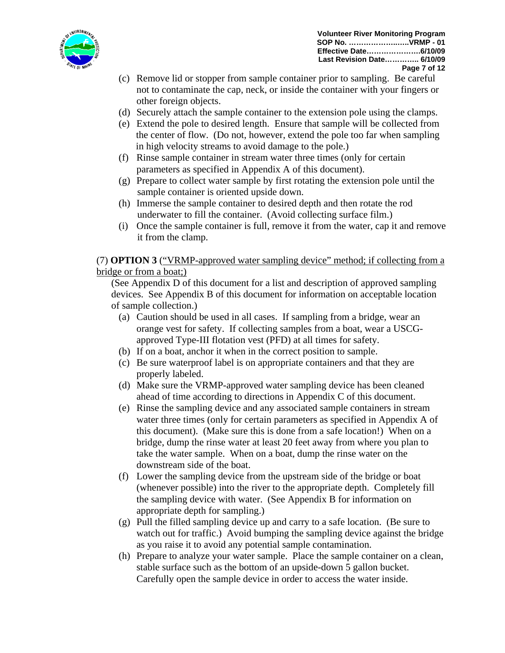

- (c) Remove lid or stopper from sample container prior to sampling. Be careful not to contaminate the cap, neck, or inside the container with your fingers or other foreign objects.
- (d) Securely attach the sample container to the extension pole using the clamps.
- (e) Extend the pole to desired length. Ensure that sample will be collected from the center of flow. (Do not, however, extend the pole too far when sampling in high velocity streams to avoid damage to the pole.)
- (f) Rinse sample container in stream water three times (only for certain parameters as specified in Appendix A of this document).
- (g) Prepare to collect water sample by first rotating the extension pole until the sample container is oriented upside down.
- (h) Immerse the sample container to desired depth and then rotate the rod underwater to fill the container. (Avoid collecting surface film.)
- (i) Once the sample container is full, remove it from the water, cap it and remove it from the clamp.

(7) **OPTION 3** ("VRMP-approved water sampling device" method; if collecting from a bridge or from a boat;)

 (See Appendix D of this document for a list and description of approved sampling devices. See Appendix B of this document for information on acceptable location of sample collection.)

- (a) Caution should be used in all cases. If sampling from a bridge, wear an orange vest for safety. If collecting samples from a boat, wear a USCGapproved Type-III flotation vest (PFD) at all times for safety.
- (b) If on a boat, anchor it when in the correct position to sample.
- (c) Be sure waterproof label is on appropriate containers and that they are properly labeled.
- (d) Make sure the VRMP-approved water sampling device has been cleaned ahead of time according to directions in Appendix C of this document.
- (e) Rinse the sampling device and any associated sample containers in stream water three times (only for certain parameters as specified in Appendix A of this document). (Make sure this is done from a safe location!) When on a bridge, dump the rinse water at least 20 feet away from where you plan to take the water sample. When on a boat, dump the rinse water on the downstream side of the boat.
- (f) Lower the sampling device from the upstream side of the bridge or boat (whenever possible) into the river to the appropriate depth. Completely fill the sampling device with water. (See Appendix B for information on appropriate depth for sampling.)
- (g) Pull the filled sampling device up and carry to a safe location. (Be sure to watch out for traffic.) Avoid bumping the sampling device against the bridge as you raise it to avoid any potential sample contamination.
- (h) Prepare to analyze your water sample. Place the sample container on a clean, stable surface such as the bottom of an upside-down 5 gallon bucket. Carefully open the sample device in order to access the water inside.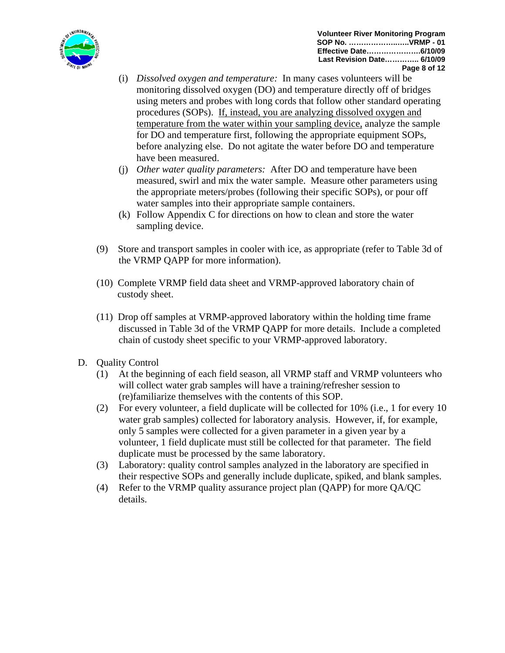

- (i) *Dissolved oxygen and temperature:* In many cases volunteers will be monitoring dissolved oxygen (DO) and temperature directly off of bridges using meters and probes with long cords that follow other standard operating procedures (SOPs). If, instead, you are analyzing dissolved oxygen and temperature from the water within your sampling device, analyze the sample for DO and temperature first, following the appropriate equipment SOPs, before analyzing else. Do not agitate the water before DO and temperature have been measured.
- (j) *Other water quality parameters:* After DO and temperature have been measured, swirl and mix the water sample. Measure other parameters using the appropriate meters/probes (following their specific SOPs), or pour off water samples into their appropriate sample containers.
- (k) Follow Appendix C for directions on how to clean and store the water sampling device.
- (9) Store and transport samples in cooler with ice, as appropriate (refer to Table 3d of the VRMP QAPP for more information).
- (10) Complete VRMP field data sheet and VRMP-approved laboratory chain of custody sheet.
- (11) Drop off samples at VRMP-approved laboratory within the holding time frame discussed in Table 3d of the VRMP QAPP for more details. Include a completed chain of custody sheet specific to your VRMP-approved laboratory.
- D. Quality Control
	- (1) At the beginning of each field season, all VRMP staff and VRMP volunteers who will collect water grab samples will have a training/refresher session to (re)familiarize themselves with the contents of this SOP.
	- (2) For every volunteer, a field duplicate will be collected for 10% (i.e., 1 for every 10 water grab samples) collected for laboratory analysis. However, if, for example, only 5 samples were collected for a given parameter in a given year by a volunteer, 1 field duplicate must still be collected for that parameter. The field duplicate must be processed by the same laboratory.
	- (3) Laboratory: quality control samples analyzed in the laboratory are specified in their respective SOPs and generally include duplicate, spiked, and blank samples.
	- (4) Refer to the VRMP quality assurance project plan (QAPP) for more QA/QC details.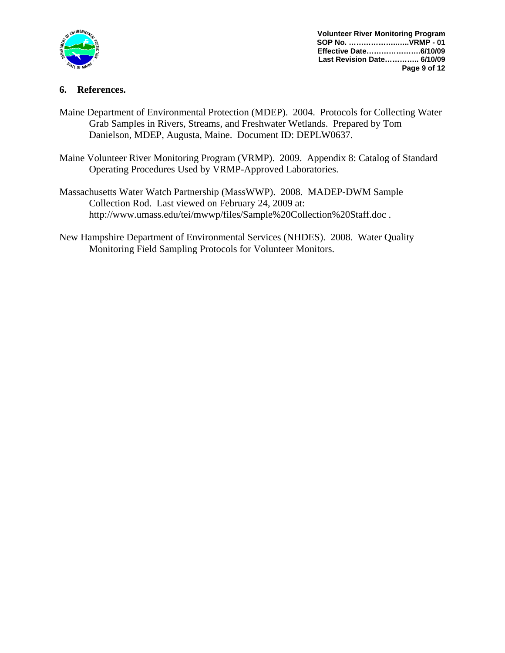

**Volunteer River Monitoring Program SOP No. ………………..…..VRMP - 01 Effective Date………………….6/10/09 Last Revision Date………….. 6/10/09 Page 9 of 12**

# **6. References.**

- Maine Department of Environmental Protection (MDEP). 2004. Protocols for Collecting Water Grab Samples in Rivers, Streams, and Freshwater Wetlands. Prepared by Tom Danielson, MDEP, Augusta, Maine. Document ID: DEPLW0637.
- Maine Volunteer River Monitoring Program (VRMP). 2009. Appendix 8: Catalog of Standard Operating Procedures Used by VRMP-Approved Laboratories.
- Massachusetts Water Watch Partnership (MassWWP). 2008. MADEP-DWM Sample Collection Rod. Last viewed on February 24, 2009 at: http://www.umass.edu/tei/mwwp/files/Sample%20Collection%20Staff.doc .
- New Hampshire Department of Environmental Services (NHDES). 2008. Water Quality Monitoring Field Sampling Protocols for Volunteer Monitors.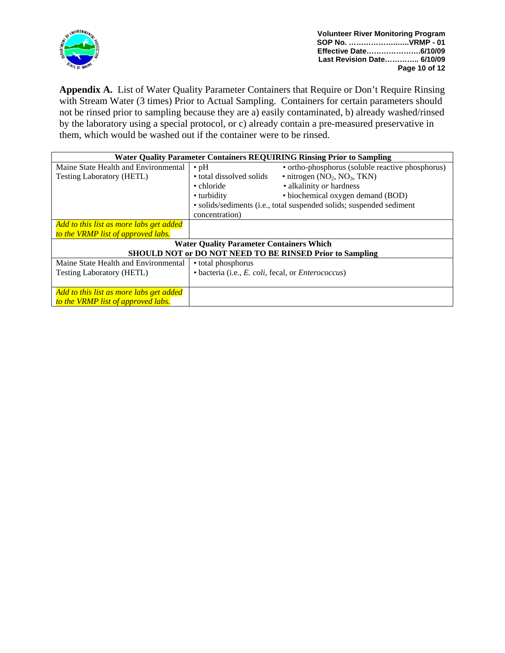

Appendix A. List of Water Quality Parameter Containers that Require or Don't Require Rinsing with Stream Water (3 times) Prior to Actual Sampling. Containers for certain parameters should not be rinsed prior to sampling because they are a) easily contaminated, b) already washed/rinsed by the laboratory using a special protocol, or c) already contain a pre-measured preservative in them, which would be washed out if the container were to be rinsed.

| <b>Water Quality Parameter Containers REQUIRING Rinsing Prior to Sampling</b> |                                                                      |                                                              |
|-------------------------------------------------------------------------------|----------------------------------------------------------------------|--------------------------------------------------------------|
| Maine State Health and Environmental                                          | $\cdot$ pH                                                           | • ortho-phosphorus (soluble reactive phosphorus)             |
| <b>Testing Laboratory (HETL)</b>                                              | • total dissolved solids                                             | $\bullet$ nitrogen (NO <sub>2</sub> , NO <sub>3</sub> , TKN) |
|                                                                               | • chloride                                                           | • alkalinity or hardness                                     |
|                                                                               | • turbidity                                                          | • biochemical oxygen demand (BOD)                            |
|                                                                               | • solids/sediments (i.e., total suspended solids; suspended sediment |                                                              |
|                                                                               | concentration)                                                       |                                                              |
| Add to this list as more labs get added                                       |                                                                      |                                                              |
| to the VRMP list of approved labs.                                            |                                                                      |                                                              |
| <b>Water Quality Parameter Containers Which</b>                               |                                                                      |                                                              |
| SHOULD NOT or DO NOT NEED TO BE RINSED Prior to Sampling                      |                                                                      |                                                              |
| Maine State Health and Environmental                                          | • total phosphorus                                                   |                                                              |
| <b>Testing Laboratory (HETL)</b>                                              | · bacteria (i.e., E. coli, fecal, or Enterococcus)                   |                                                              |
|                                                                               |                                                                      |                                                              |
| Add to this list as more labs get added                                       |                                                                      |                                                              |
| to the VRMP list of approved labs.                                            |                                                                      |                                                              |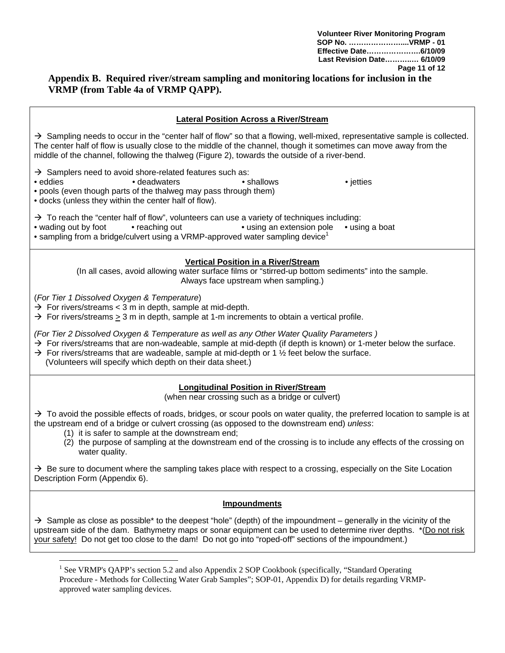# **Appendix B. Required river/stream sampling and monitoring locations for inclusion in the VRMP (from Table 4a of VRMP QAPP).**

| <b>Lateral Position Across a River/Stream</b>                                                                                                                                                                                                                                                                                                                                                                  |  |  |  |
|----------------------------------------------------------------------------------------------------------------------------------------------------------------------------------------------------------------------------------------------------------------------------------------------------------------------------------------------------------------------------------------------------------------|--|--|--|
| $\rightarrow$ Sampling needs to occur in the "center half of flow" so that a flowing, well-mixed, representative sample is collected.<br>The center half of flow is usually close to the middle of the channel, though it sometimes can move away from the<br>middle of the channel, following the thalweg (Figure 2), towards the outside of a river-bend.                                                    |  |  |  |
| $\rightarrow$ Samplers need to avoid shore-related features such as:<br>• shallows<br>• eddies<br>• deadwaters<br>• jetties<br>• pools (even though parts of the thalweg may pass through them)<br>• docks (unless they within the center half of flow).                                                                                                                                                       |  |  |  |
| $\rightarrow$ To reach the "center half of flow", volunteers can use a variety of techniques including:<br>• wading out by foot<br>• reaching out<br>• using an extension pole<br>• using a boat<br>• sampling from a bridge/culvert using a VRMP-approved water sampling device <sup>1</sup>                                                                                                                  |  |  |  |
| <b>Vertical Position in a River/Stream</b><br>(In all cases, avoid allowing water surface films or "stirred-up bottom sediments" into the sample.<br>Always face upstream when sampling.)                                                                                                                                                                                                                      |  |  |  |
| (For Tier 1 Dissolved Oxygen & Temperature)<br>$\rightarrow$ For rivers/streams < 3 m in depth, sample at mid-depth.<br>$\rightarrow$ For rivers/streams $\geq$ 3 m in depth, sample at 1-m increments to obtain a vertical profile.                                                                                                                                                                           |  |  |  |
| (For Tier 2 Dissolved Oxygen & Temperature as well as any Other Water Quality Parameters)<br>$\rightarrow$ For rivers/streams that are non-wadeable, sample at mid-depth (if depth is known) or 1-meter below the surface.<br>$\rightarrow$ For rivers/streams that are wadeable, sample at mid-depth or 1 $\frac{1}{2}$ feet below the surface.<br>(Volunteers will specify which depth on their data sheet.) |  |  |  |
| <b>Longitudinal Position in River/Stream</b><br>(when near crossing such as a bridge or culvert)                                                                                                                                                                                                                                                                                                               |  |  |  |
| $\rightarrow$ To avoid the possible effects of roads, bridges, or scour pools on water quality, the preferred location to sample is at<br>the upstream end of a bridge or culvert crossing (as opposed to the downstream end) unless:<br>(1) it is safer to sample at the downstream end;                                                                                                                      |  |  |  |
| (2) the purpose of sampling at the downstream end of the crossing is to include any effects of the crossing on<br>water quality.                                                                                                                                                                                                                                                                               |  |  |  |
| $\rightarrow$ Be sure to document where the sampling takes place with respect to a crossing, especially on the Site Location<br>Description Form (Appendix 6).                                                                                                                                                                                                                                                 |  |  |  |
| Impoundments                                                                                                                                                                                                                                                                                                                                                                                                   |  |  |  |
| $\rightarrow$ Sample as close as possible* to the deepest "hole" (depth) of the impoundment – generally in the vicinity of the<br>upstream side of the dam. Bathymetry maps or sonar equipment can be used to determine river depths. *(Do not risk<br>your safety! Do not get too close to the dam! Do not go into "roped-off" sections of the impoundment.)                                                  |  |  |  |
| $\frac{1}{2}$ See VDMD's OADD's section 5.2 and also Appendix 2.80D Cookbook (specifically "Standard Operating                                                                                                                                                                                                                                                                                                 |  |  |  |

See VRMP's QAPP's section 5.2 and also Appendix 2 SOP Cookbook (specifically, "Standard Operating Procedure - Methods for Collecting Water Grab Samples"; SOP-01, Appendix D) for details regarding VRMPapproved water sampling devices.